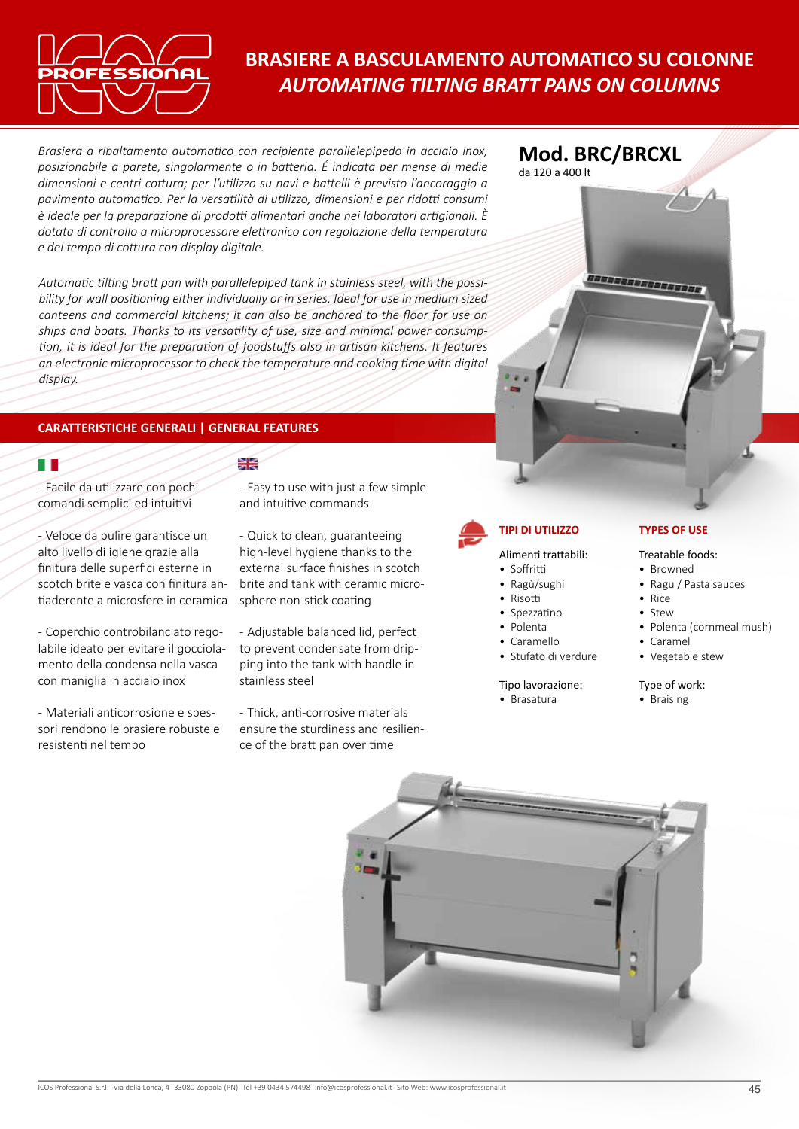

# **BRASIERE A BASCULAMENTO AUTOMATICO SU COLONNE** *AUTOMATING TILTING BRATT PANS ON COLUMNS*

*Brasiera a ribaltamento automatico con recipiente parallelepipedo in acciaio inox, posizionabile a parete, singolarmente o in batteria. É indicata per mense di medie dimensioni e centri cottura; per l'utilizzo su navi e battelli è previsto l'ancoraggio a pavimento automatico. Per la versatilità di utilizzo, dimensioni e per ridotti consumi è ideale per la preparazione di prodotti alimentari anche nei laboratori artigianali. È dotata di controllo a microprocessore elettronico con regolazione della temperatura e del tempo di cottura con display digitale.*

*Automatic tilting bratt pan with parallelepiped tank in stainless steel, with the possibility for wall positioning either individually or in series. Ideal for use in medium sized canteens and commercial kitchens; it can also be anchored to the floor for use on ships and boats. Thanks to its versatility of use, size and minimal power consumption, it is ideal for the preparation of foodstuffs also in artisan kitchens. It features an electronic microprocessor to check the temperature and cooking time with digital display.*

头长

# **CARATTERISTICHE GENERALI | GENERAL FEATURES**

íΓ

- Facile da utilizzare con pochi comandi semplici ed intuitivi

- Veloce da pulire garantisce un alto livello di igiene grazie alla finitura delle superfici esterne in scotch brite e vasca con finitura antiaderente a microsfere in ceramica

- Coperchio controbilanciato regolabile ideato per evitare il gocciolamento della condensa nella vasca con maniglia in acciaio inox

- Materiali anticorrosione e spessori rendono le brasiere robuste e resistenti nel tempo

- Easy to use with just a few simple and intuitive commands

- Quick to clean, guaranteeing high-level hygiene thanks to the external surface finishes in scotch brite and tank with ceramic microsphere non-stick coating

- Adjustable balanced lid, perfect to prevent condensate from dripping into the tank with handle in stainless steel

- Thick, anti-corrosive materials ensure the sturdiness and resilience of the bratt pan over time



**Mod. BRC/BRCXL**

da 120 a 400 lt

Alimenti trattabili:

- Soffritti
- Ragù/sughi
- Risotti
- Spezzatino
- Polenta • Caramello
- 
- Stufato di verdure

Tipo lavorazione: • Brasatura

### **TIPI DI UTILIZZO TYPES OF USE**

#### Treatable foods:

- Browned
- Ragu / Pasta sauces
- Rice
- Stew
- Polenta (cornmeal mush)
- Caramel
- Vegetable stew

## Type of work:

• Braising

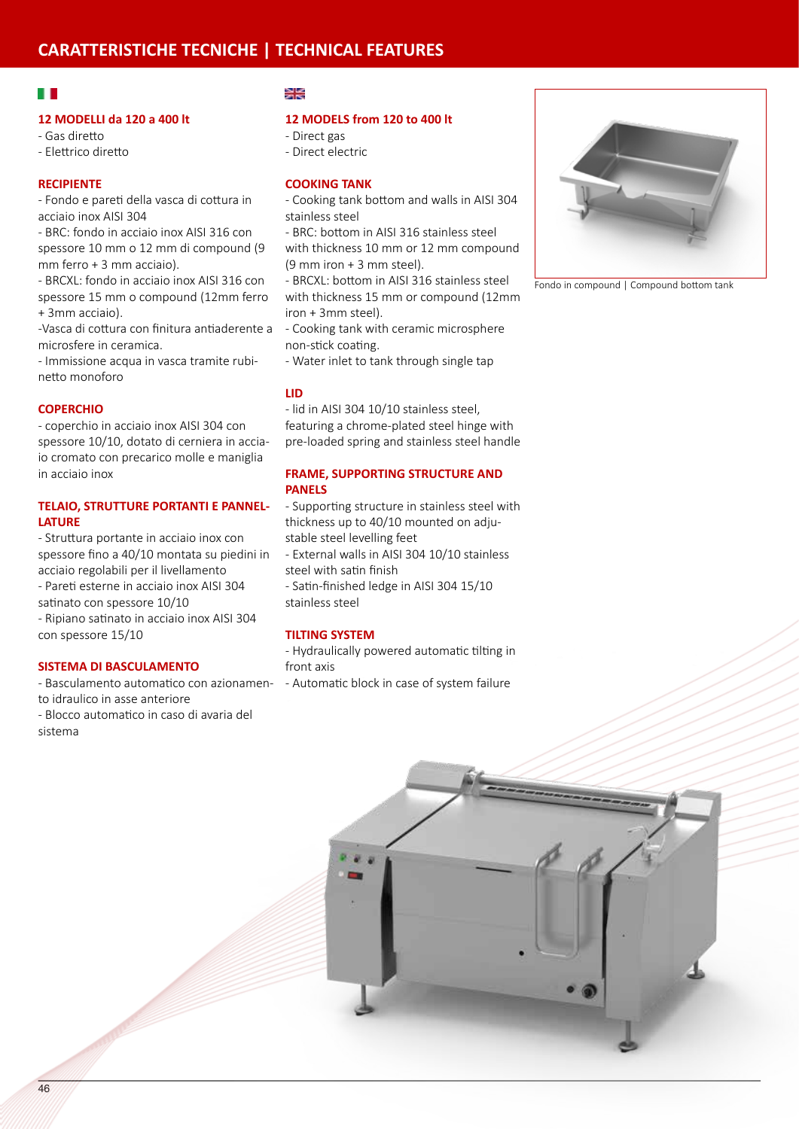# H

#### **12 MODELLI da 120 a 400 lt**

- Gas diretto - Elettrico diretto

## **RECIPIENTE**

- Fondo e pareti della vasca di cottura in acciaio inox AISI 304

- BRC: fondo in acciaio inox AISI 316 con spessore 10 mm o 12 mm di compound (9 mm ferro + 3 mm acciaio).

- BRCXL: fondo in acciaio inox AISI 316 con spessore 15 mm o compound (12mm ferro + 3mm acciaio).

-Vasca di cottura con finitura antiaderente a microsfere in ceramica.

- Immissione acqua in vasca tramite rubinetto monoforo

#### **COPERCHIO**

- coperchio in acciaio inox AISI 304 con spessore 10/10, dotato di cerniera in acciaio cromato con precarico molle e maniglia in acciaio inox

## **TELAIO, STRUTTURE PORTANTI E PANNEL-LATURE**

- Struttura portante in acciaio inox con spessore fino a 40/10 montata su piedini in acciaio regolabili per il livellamento - Pareti esterne in acciaio inox AISI 304

satinato con spessore 10/10

- Ripiano satinato in acciaio inox AISI 304 con spessore 15/10

## **SISTEMA DI BASCULAMENTO**

- Basculamento automatico con azionamen- - Automatic block in case of system failure to idraulico in asse anteriore

- Blocco automatico in caso di avaria del sistema

#### ≫≲

#### **12 MODELS from 120 to 400 lt**

- Direct gas - Direct electric

# **COOKING TANK**

- Cooking tank bottom and walls in AISI 304 stainless steel
- BRC: bottom in AISI 316 stainless steel with thickness 10 mm or 12 mm compound

(9 mm iron + 3 mm steel).

- BRCXL: bottom in AISI 316 stainless steel with thickness 15 mm or compound (12mm iron + 3mm steel).

- Cooking tank with ceramic microsphere non-stick coating.

- Water inlet to tank through single tap

#### **LID**

- lid in AISI 304 10/10 stainless steel, featuring a chrome-plated steel hinge with pre-loaded spring and stainless steel handle

#### **FRAME, SUPPORTING STRUCTURE AND PANELS**

- Supporting structure in stainless steel with thickness up to 40/10 mounted on adjustable steel levelling feet

- External walls in AISI 304 10/10 stainless steel with satin finish
- Satin-finished ledge in AISI 304 15/10 stainless steel

#### **TILTING SYSTEM**

- Hydraulically powered automatic tilting in front axis



Fondo in compound | Compound bottom tank

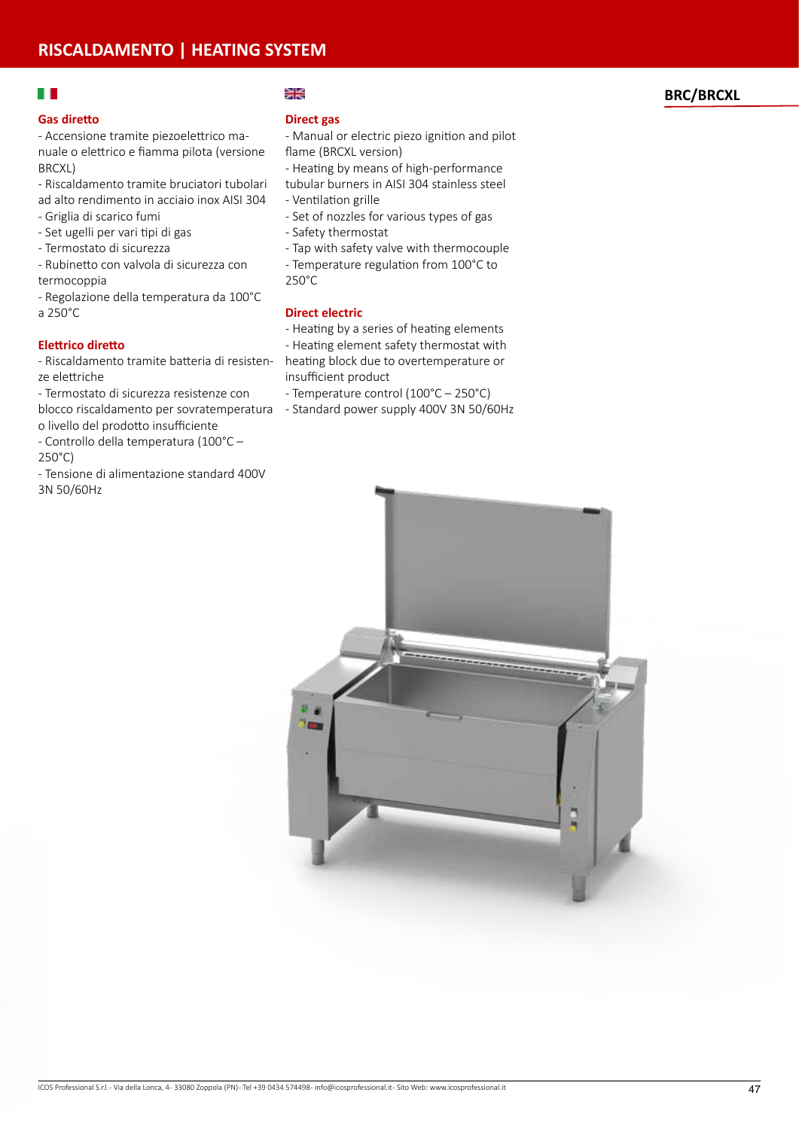# $\blacksquare$

#### **Gas diretto**

- Accensione tramite piezoelettrico manuale o elettrico e fiamma pilota (versione BRCXL)

- Riscaldamento tramite bruciatori tubolari ad alto rendimento in acciaio inox AISI 304
- Griglia di scarico fumi
- Set ugelli per vari tipi di gas
- Termostato di sicurezza
- Rubinetto con valvola di sicurezza con termocoppia
- Regolazione della temperatura da 100°C a 250°C

### **Elettrico diretto**

- Riscaldamento tramite batteria di resistenze elettriche
- blocco riscaldamento per sovratemperatura Standard power supply 400V 3N 50/60Hz - Termostato di sicurezza resistenze con
- o livello del prodotto insufficiente
- Controllo della temperatura (100°C 250°C)
- Tensione di alimentazione standard 400V 3N 50/60Hz

#### ≱≼

#### **Direct gas**

- Manual or electric piezo ignition and pilot flame (BRCXL version)

- Heating by means of high-performance
- tubular burners in AISI 304 stainless steel
- Ventilation grille
- Set of nozzles for various types of gas
- Safety thermostat
- Tap with safety valve with thermocouple
- Temperature regulation from 100°C to
- 250°C

### **Direct electric**

- Heating by a series of heating elements
- Heating element safety thermostat with heating block due to overtemperature or insufficient product
	- Temperature control (100°C 250°C)
	-



## **BRC/BRCXL**